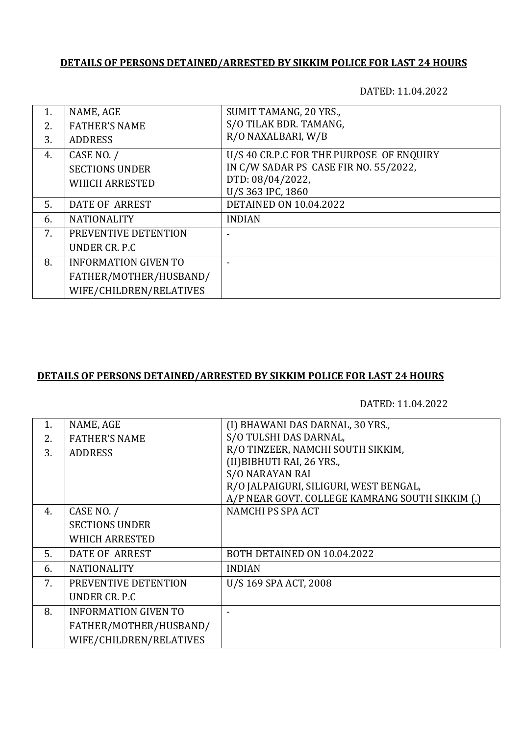## **DETAILS OF PERSONS DETAINED/ARRESTED BY SIKKIM POLICE FOR LAST 24 HOURS**

DATED: 11.04.2022

| 1. | NAME, AGE                   | SUMIT TAMANG, 20 YRS.,                   |
|----|-----------------------------|------------------------------------------|
| 2. | <b>FATHER'S NAME</b>        | S/O TILAK BDR. TAMANG,                   |
| 3. | <b>ADDRESS</b>              | R/O NAXALBARI, W/B                       |
| 4. | CASE NO. /                  | U/S 40 CR.P.C FOR THE PURPOSE OF ENQUIRY |
|    | <b>SECTIONS UNDER</b>       | IN C/W SADAR PS CASE FIR NO. 55/2022,    |
|    | <b>WHICH ARRESTED</b>       | DTD: 08/04/2022,                         |
|    |                             | U/S 363 IPC, 1860                        |
| 5. | DATE OF ARREST              | <b>DETAINED ON 10.04.2022</b>            |
| 6. | <b>NATIONALITY</b>          | <b>INDIAN</b>                            |
| 7. | PREVENTIVE DETENTION        |                                          |
|    | UNDER CR. P.C.              |                                          |
| 8. | <b>INFORMATION GIVEN TO</b> |                                          |
|    | FATHER/MOTHER/HUSBAND/      |                                          |
|    | WIFE/CHILDREN/RELATIVES     |                                          |

## **DETAILS OF PERSONS DETAINED/ARRESTED BY SIKKIM POLICE FOR LAST 24 HOURS**

DATED: 11.04.2022

| 1. | NAME, AGE                   | (I) BHAWANI DAS DARNAL, 30 YRS.,                |
|----|-----------------------------|-------------------------------------------------|
| 2. | <b>FATHER'S NAME</b>        | S/O TULSHI DAS DARNAL,                          |
| 3. | <b>ADDRESS</b>              | R/O TINZEER, NAMCHI SOUTH SIKKIM,               |
|    |                             | (II) BIBHUTI RAI, 26 YRS.,                      |
|    |                             | <b>S/O NARAYAN RAI</b>                          |
|    |                             | R/O JALPAIGURI, SILIGURI, WEST BENGAL,          |
|    |                             | A/P NEAR GOVT. COLLEGE KAMRANG SOUTH SIKKIM (.) |
| 4. | CASE NO. /                  | NAMCHI PS SPA ACT                               |
|    | <b>SECTIONS UNDER</b>       |                                                 |
|    | <b>WHICH ARRESTED</b>       |                                                 |
| 5. | DATE OF ARREST              | BOTH DETAINED ON 10.04.2022                     |
| 6. | <b>NATIONALITY</b>          | <b>INDIAN</b>                                   |
| 7. | PREVENTIVE DETENTION        | U/S 169 SPA ACT, 2008                           |
|    | UNDER CR. P.C               |                                                 |
| 8. | <b>INFORMATION GIVEN TO</b> |                                                 |
|    | FATHER/MOTHER/HUSBAND/      |                                                 |
|    | WIFE/CHILDREN/RELATIVES     |                                                 |